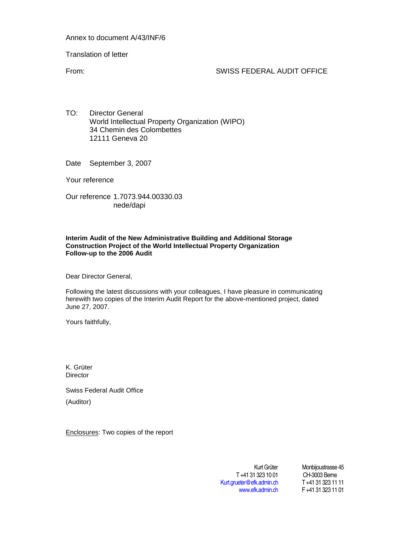Annex to document A/43/INF/6

Translation of letter

From: SWISS FEDERAL AUDIT OFFICE

TO: Director General World Intellectual Property Organization (WIPO) 34 Chemin des Colombettes 12111 Geneva 20

Date September 3, 2007

Your reference

Our reference 1.7073.944.00330.03 nede/dapi

# **Interim Audit of the New Administrative Building and Additional Storage Construction Project of the World Intellectual Property Organization Follow-up to the 2006 Audit**

Dear Director General,

Following the latest discussions with your colleagues, I have pleasure in communicating herewith two copies of the Interim Audit Report for the above-mentioned project, dated June 27, 2007.

Yours faithfully,

K. Grüter **Director** 

Swiss Federal Audit Office (Auditor)

Enclosures: Two copies of the report

T +41 31 323 10 01 CH-3003 Berne<br>
ueter@efk.admin.ch T +41 31 323 11 11 [Kurt.grueter@efk.admin.ch](mailto:Kurt.grueter@efk.admin.ch)

Kurt Grüter Monbijoustrasse 45<br>1 323 10 01 CH-3003 Berne [www.efk.admin.ch](http://www.efk.admin.ch/) F +41 31 323 11 01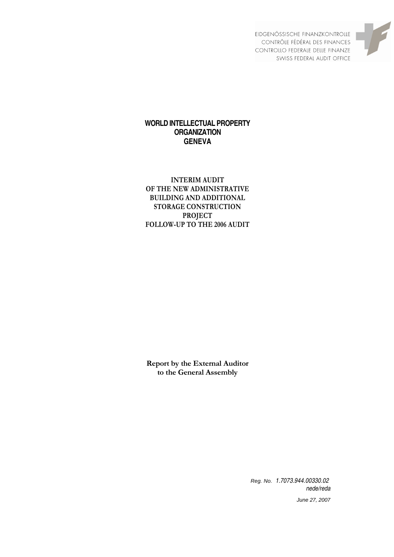

EIDGENÖSSISCHE FINANZKONTROLLE CONTRÔLE FÉDÉRAL DES FINANCES CONTROLLO FEDERALE DELLE FINANZE SWISS FEDERAL AUDIT OFFICE

# **WORLD INTELLECTUAL PROPERTY ORGANIZATION GENEVA**

# **INTERIM AUDIT OF THE NEW ADMINISTRATIVE BUILDING AND ADDITIONAL STORAGE CONSTRUCTION PROJECT FOLLOW-UP TO THE 2006 AUDIT**

**Report by the External Auditor to the General Assembly** 

> Reg. No. 1.7073.944.00330.02 nede/reda

> > June 27, 2007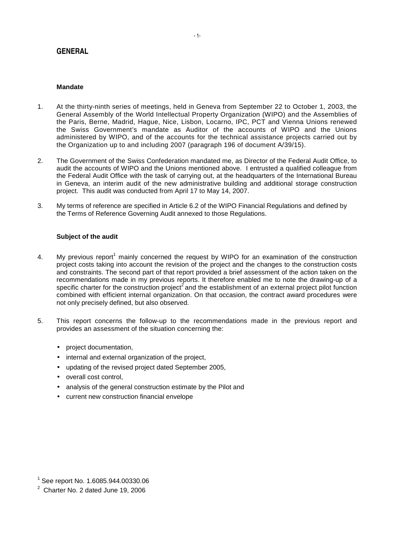# **GENERAL**

# **Mandate**

- 1. At the thirty-ninth series of meetings, held in Geneva from September 22 to October 1, 2003, the General Assembly of the World Intellectual Property Organization (WIPO) and the Assemblies of the Paris, Berne, Madrid, Hague, Nice, Lisbon, Locarno, IPC, PCT and Vienna Unions renewed the Swiss Government's mandate as Auditor of the accounts of WIPO and the Unions administered by WIPO, and of the accounts for the technical assistance projects carried out by the Organization up to and including 2007 (paragraph 196 of document A/39/15).
- 2. The Government of the Swiss Confederation mandated me, as Director of the Federal Audit Office, to audit the accounts of WIPO and the Unions mentioned above. I entrusted a qualified colleague from the Federal Audit Office with the task of carrying out, at the headquarters of the International Bureau in Geneva, an interim audit of the new administrative building and additional storage construction project. This audit was conducted from April 17 to May 14, 2007.
- 3. My terms of reference are specified in Article 6.2 of the WIPO Financial Regulations and defined by the Terms of Reference Governing Audit annexed to those Regulations.

# **Subject of the audit**

- 4. My previous report<sup>1</sup> mainly concerned the request by WIPO for an examination of the construction project costs taking into account the revision of the project and the changes to the construction costs and constraints. The second part of that report provided a brief assessment of the action taken on the recommendations made in my previous reports. It therefore enabled me to note the drawing-up of a specific charter for the construction project<sup>2</sup> and the establishment of an external project pilot function combined with efficient internal organization. On that occasion, the contract award procedures were not only precisely defined, but also observed.
- 5. This report concerns the follow-up to the recommendations made in the previous report and provides an assessment of the situation concerning the:
	- project documentation,
	- internal and external organization of the project,
	- updating of the revised project dated September 2005,
	- overall cost control.
	- analysis of the general construction estimate by the Pilot and
	- current new construction financial envelope

<sup>1</sup> See report No. 1.6085.944.00330.06

 $2$  Charter No. 2 dated June 19, 2006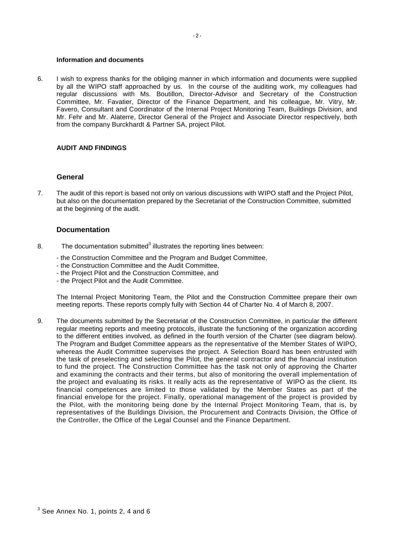#### **Information and documents**

6. I wish to express thanks for the obliging manner in which information and documents were supplied by all the WIPO staff approached by us. In the course of the auditing work, my colleagues had regular discussions with Ms. Boutillon, Director-Advisor and Secretary of the Construction Committee, Mr. Favatier, Director of the Finance Department, and his colleague, Mr. Vitry, Mr. Favero, Consultant and Coordinator of the Internal Project Monitoring Team, Buildings Division, and Mr. Fehr and Mr. Alaterre, Director General of the Project and Associate Director respectively, both from the company Burckhardt & Partner SA, project Pilot.

# **AUDIT AND FINDINGS**

# **General**

7. The audit of this report is based not only on various discussions with WIPO staff and the Project Pilot, but also on the documentation prepared by the Secretariat of the Construction Committee, submitted at the beginning of the audit.

# **Documentation**

- 8. The documentation submitted<sup>3</sup> illustrates the reporting lines between:
	- the Construction Committee and the Program and Budget Committee,
	- the Construction Committee and the Audit Committee,
	- the Project Pilot and the Construction Committee, and
	- the Project Pilot and the Audit Committee.

The Internal Project Monitoring Team, the Pilot and the Construction Committee prepare their own meeting reports. These reports comply fully with Section 44 of Charter No. 4 of March 8, 2007.

9. The documents submitted by the Secretariat of the Construction Committee, in particular the different regular meeting reports and meeting protocols, illustrate the functioning of the organization according to the different entities involved, as defined in the fourth version of the Charter (see diagram below). The Program and Budget Committee appears as the representative of the Member States of WIPO, whereas the Audit Committee supervises the project. A Selection Board has been entrusted with the task of preselecting and selecting the Pilot, the general contractor and the financial institution to fund the project. The Construction Committee has the task not only of approving the Charter and examining the contracts and their terms, but also of monitoring the overall implementation of the project and evaluating its risks. It really acts as the representative of WIPO as the client. Its financial competences are limited to those validated by the Member States as part of the financial envelope for the project. Finally, operational management of the project is provided by the Pilot, with the monitoring being done by the Internal Project Monitoring Team, that is, by representatives of the Buildings Division, the Procurement and Contracts Division, the Office of the Controller, the Office of the Legal Counsel and the Finance Department.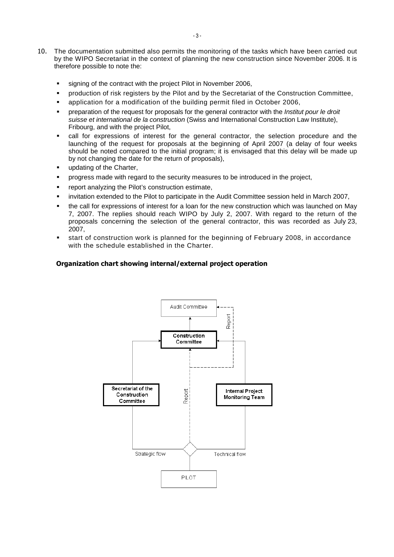- 10. The documentation submitted also permits the monitoring of the tasks which have been carried out by the WIPO Secretariat in the context of planning the new construction since November 2006. It is therefore possible to note the:
	- signing of the contract with the project Pilot in November 2006,
	- production of risk registers by the Pilot and by the Secretariat of the Construction Committee,
	- application for a modification of the building permit filed in October 2006,
	- preparation of the request for proposals for the general contractor with the Institut pour le droit suisse et international de la construction (Swiss and International Construction Law Institute), Fribourg, and with the project Pilot,
	- call for expressions of interest for the general contractor, the selection procedure and the launching of the request for proposals at the beginning of April 2007 (a delay of four weeks should be noted compared to the initial program; it is envisaged that this delay will be made up by not changing the date for the return of proposals),
	- updating of the Charter,
	- **•** progress made with regard to the security measures to be introduced in the project,
	- **•** report analyzing the Pilot's construction estimate,
	- invitation extended to the Pilot to participate in the Audit Committee session held in March 2007,
	- the call for expressions of interest for a loan for the new construction which was launched on May 7, 2007. The replies should reach WIPO by July 2, 2007. With regard to the return of the proposals concerning the selection of the general contractor, this was recorded as July 23, 2007,
	- start of construction work is planned for the beginning of February 2008, in accordance with the schedule established in the Charter.

# **Organization chart showing internal/external project operation**

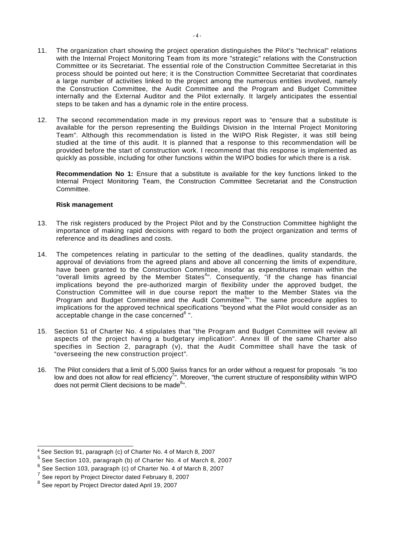- 11. The organization chart showing the project operation distinguishes the Pilot's "technical" relations with the Internal Project Monitoring Team from its more "strategic" relations with the Construction Committee or its Secretariat. The essential role of the Construction Committee Secretariat in this process should be pointed out here; it is the Construction Committee Secretariat that coordinates a large number of activities linked to the project among the numerous entities involved, namely the Construction Committee, the Audit Committee and the Program and Budget Committee internally and the External Auditor and the Pilot externally. It largely anticipates the essential steps to be taken and has a dynamic role in the entire process.
- 12. The second recommendation made in my previous report was to "ensure that a substitute is available for the person representing the Buildings Division in the Internal Project Monitoring Team". Although this recommendation is listed in the WIPO Risk Register, it was still being studied at the time of this audit. It is planned that a response to this recommendation will be provided before the start of construction work. I recommend that this response is implemented as quickly as possible, including for other functions within the WIPO bodies for which there is a risk.

**Recommendation No 1:** Ensure that a substitute is available for the key functions linked to the Internal Project Monitoring Team, the Construction Committee Secretariat and the Construction Committee.

# **Risk management**

- 13. The risk registers produced by the Project Pilot and by the Construction Committee highlight the importance of making rapid decisions with regard to both the project organization and terms of reference and its deadlines and costs.
- 14. The competences relating in particular to the setting of the deadlines, quality standards, the approval of deviations from the agreed plans and above all concerning the limits of expenditure, have been granted to the Construction Committee, insofar as expenditures remain within the "overall limits agreed by the Member States<sup>4</sup>". Consequently, "if the change has financial implications beyond the pre-authorized margin of flexibility under the approved budget, the Construction Committee will in due course report the matter to the Member States via the Program and Budget Committee and the Audit Committee<sup>5</sup>". The same procedure applies to implications for the approved technical specifications "beyond what the Pilot would consider as an acceptable change in the case concerned<sup>6</sup> ".
- 15. Section 51 of Charter No. 4 stipulates that "the Program and Budget Committee will review all aspects of the project having a budgetary implication". Annex Ill of the same Charter also specifies in Section 2, paragraph (v), that the Audit Committee shall have the task of "overseeing the new construction project".
- 16. The Pilot considers that a limit of 5,000 Swiss francs for an order without a request for proposals "is too low and does not allow for real efficiency<sup>7</sup>". Moreover, "the current structure of responsibility within WIPO does not permit Client decisions to be made<sup>8</sup>".

<sup>4</sup> See Section 91, paragraph (c) of Charter No. 4 of March 8, 2007

<sup>5</sup> See Section 103, paragraph (b) of Charter No. 4 of March 8, 2007

 $<sup>6</sup>$  See Section 103, paragraph (c) of Charter No. 4 of March 8, 2007</sup>

<sup>7</sup> See report by Project Director dated February 8, 2007

<sup>8</sup> See report by Project Director dated April 19, 2007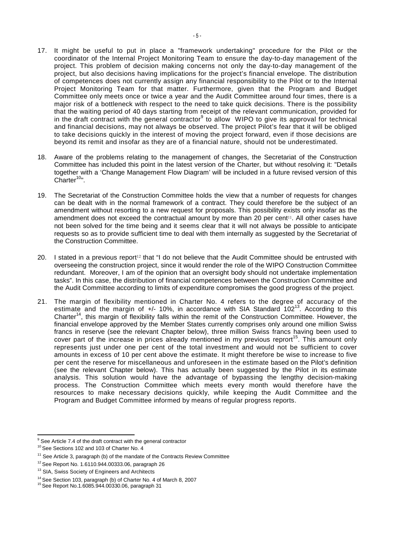- 17. It might be useful to put in place a "framework undertaking" procedure for the Pilot or the coordinator of the Internal Project Monitoring Team to ensure the day-to-day management of the project. This problem of decision making concerns not only the day-to-day management of the project, but also decisions having implications for the project's financial envelope. The distribution of competences does not currently assign any financial responsibility to the Pilot or to the Internal Project Monitoring Team for that matter. Furthermore, given that the Program and Budget Committee only meets once or twice a year and the Audit Committee around four times, there is a major risk of a bottleneck with respect to the need to take quick decisions. There is the possibility that the waiting period of 40 days starting from receipt of the relevant communication, provided for in the draft contract with the general contractor $9$  to allow WIPO to give its approval for technical and financial decisions, may not always be observed. The project Pilot's fear that it will be obliged to take decisions quickly in the interest of moving the project forward, even if those decisions are beyond its remit and insofar as they are of a financial nature, should not be underestimated.
- 18. Aware of the problems relating to the management of changes, the Secretariat of the Construction Committee has included this point in the latest version of the Charter, but without resolving it: "Details together with a 'Change Management Flow Diagram' will be included in a future revised version of this Charter $10"$ .
- 19. The Secretariat of the Construction Committee holds the view that a number of requests for changes can be dealt with in the normal framework of a contract. They could therefore be the subject of an amendment without resorting to a new request for proposals. This possibility exists only insofar as the amendment does not exceed the contractual amount by more than 20 per cent<sup>11</sup>. All other cases have not been solved for the time being and it seems clear that it will not always be possible to anticipate requests so as to provide sufficient time to deal with them internally as suggested by the Secretariat of the Construction Committee.
- 20. I stated in a previous report<sup>12</sup> that "I do not believe that the Audit Committee should be entrusted with overseeing the construction project, since it would render the role of the WIPO Construction Committee redundant. Moreover, I am of the opinion that an oversight body should not undertake implementation tasks". In this case, the distribution of financial competences between the Construction Committee and the Audit Committee according to limits of expenditure compromises the good progress of the project.
- 21. The margin of flexibility mentioned in Charter No. 4 refers to the degree of accuracy of the estimate and the margin of  $+/-$  10%, in accordance with SIA Standard 102<sup>13</sup>. According to this Charter<sup>14</sup>, this margin of flexibility falls within the remit of the Construction Committee. However, the financial envelope approved by the Member States currently comprises only around one million Swiss francs in reserve (see the relevant Chapter below), three million Swiss francs having been used to cover part of the increase in prices already mentioned in my previous reprort<sup>15</sup>. This amount only represents just under one per cent of the total investment and would not be sufficient to cover amounts in excess of 10 per cent above the estimate. It might therefore be wise to increase to five per cent the reserve for miscellaneous and unforeseen in the estimate based on the Pilot's definition (see the relevant Chapter below). This has actually been suggested by the Pilot in its estimate analysis. This solution would have the advantage of bypassing the lengthy decision-making process. The Construction Committee which meets every month would therefore have the resources to make necessary decisions quickly, while keeping the Audit Committee and the Program and Budget Committee informed by means of regular progress reports.

<sup>&</sup>lt;sup>9</sup> See Article 7.4 of the draft contract with the general contractor

<sup>&</sup>lt;sup>10</sup> See Sections 102 and 103 of Charter No. 4

 $11$  See Article 3, paragraph (b) of the mandate of the Contracts Review Committee

 $12$  See Report No. 1.6110.944.00333.06, paragraph 26

<sup>&</sup>lt;sup>13</sup> SIA, Swiss Society of Engineers and Architects

<sup>&</sup>lt;sup>14</sup> See Section 103, paragraph (b) of Charter No. 4 of March 8, 2007<br><sup>15</sup> See Report No.1.6085.944.00330.06, paragraph 31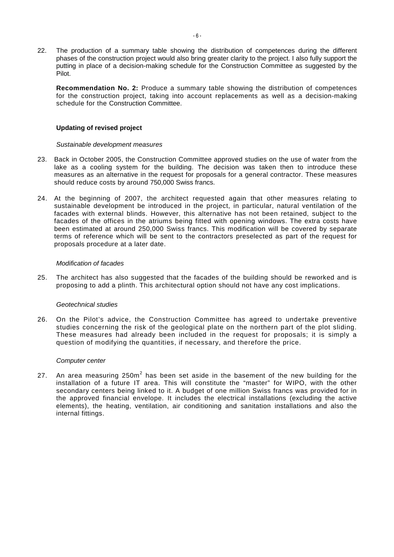22. The production of a summary table showing the distribution of competences during the different phases of the construction project would also bring greater clarity to the project. I also fully support the putting in place of a decision-making schedule for the Construction Committee as suggested by the Pilot.

**Recommendation No. 2:** Produce a summary table showing the distribution of competences for the construction project, taking into account replacements as well as a decision-making schedule for the Construction Committee.

# **Updating of revised project**

# Sustainable development measures

- 23. Back in October 2005, the Construction Committee approved studies on the use of water from the lake as a cooling system for the building. The decision was taken then to introduce these measures as an alternative in the request for proposals for a general contractor. These measures should reduce costs by around 750,000 Swiss francs.
- 24. At the beginning of 2007, the architect requested again that other measures relating to sustainable development be introduced in the project, in particular, natural ventilation of the facades with external blinds. However, this alternative has not been retained, subject to the facades of the offices in the atriums being fitted with opening windows. The extra costs have been estimated at around 250,000 Swiss francs. This modification will be covered by separate terms of reference which will be sent to the contractors preselected as part of the request for proposals procedure at a later date.

# Modification of facades

25. The architect has also suggested that the facades of the building should be reworked and is proposing to add a plinth. This architectural option should not have any cost implications.

# Geotechnical studies

26. On the Pilot's advice, the Construction Committee has agreed to undertake preventive studies concerning the risk of the geological plate on the northern part of the plot sliding. These measures had already been included in the request for proposals; it is simply a question of modifying the quantities, if necessary, and therefore the price.

# Computer center

27. An area measuring 250m<sup>2</sup> has been set aside in the basement of the new building for the installation of a future IT area. This will constitute the "master" for WIPO, with the other secondary centers being linked to it. A budget of one million Swiss francs was provided for in the approved financial envelope. It includes the electrical installations (excluding the active elements), the heating, ventilation, air conditioning and sanitation installations and also the internal fittings.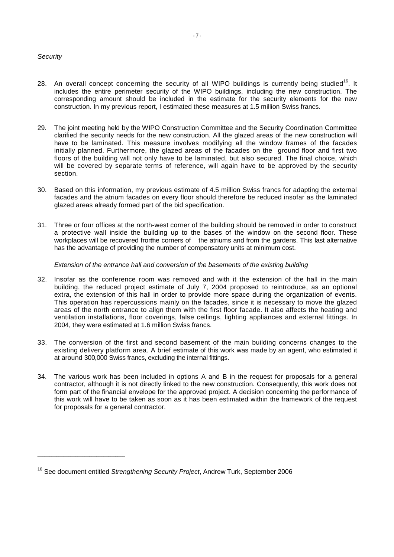# **Security**

- 28. An overall concept concerning the security of all WIPO buildings is currently being studied<sup>16</sup>. It includes the entire perimeter security of the WIPO buildings, including the new construction. The corresponding amount should be included in the estimate for the security elements for the new construction. In my previous report, I estimated these measures at 1.5 million Swiss francs.
- 29. The joint meeting held by the WIPO Construction Committee and the Security Coordination Committee clarified the security needs for the new construction. All the glazed areas of the new construction will have to be laminated. This measure involves modifying all the window frames of the facades initially planned. Furthermore, the glazed areas of the facades on the ground floor and first two floors of the building will not only have to be laminated, but also secured. The final choice, which will be covered by separate terms of reference, will again have to be approved by the security section.
- 30. Based on this information, my previous estimate of 4.5 million Swiss francs for adapting the external facades and the atrium facades on every floor should therefore be reduced insofar as the laminated glazed areas already formed part of the bid specification.
- 31. Three or four offices at the north-west corner of the building should be removed in order to construct a protective wall inside the building up to the bases of the window on the second floor. These workplaces will be recovered from the corners of the atriums and from the gardens. This last alternative has the advantage of providing the number of compensatory units at minimum cost.

# Extension of the entrance hall and conversion of the basements of the existing building

- 32. Insofar as the conference room was removed and with it the extension of the hall in the main building, the reduced project estimate of July 7, 2004 proposed to reintroduce, as an optional extra, the extension of this hall in order to provide more space during the organization of events. This operation has repercussions mainly on the facades, since it is necessary to move the glazed areas of the north entrance to align them with the first floor facade. It also affects the heating and ventilation installations, floor coverings, false ceilings, lighting appliances and external fittings. In 2004, they were estimated at 1.6 million Swiss francs.
- 33. The conversion of the first and second basement of the main building concerns changes to the existing delivery platform area. A brief estimate of this work was made by an agent, who estimated it at around 300,000 Swiss francs, excluding the internal fittings.
- 34. The various work has been included in options A and B in the request for proposals for a general contractor, although it is not directly linked to the new construction. Consequently, this work does not form part of the financial envelope for the approved project. A decision concerning the performance of this work will have to be taken as soon as it has been estimated within the framework of the request for proposals for a general contractor.

\_\_\_\_\_\_\_\_\_\_\_\_\_\_\_\_\_\_\_\_\_\_\_\_\_\_\_\_\_\_\_\_\_\_\_\_\_

<sup>&</sup>lt;sup>16</sup> See document entitled Strengthening Security Project, Andrew Turk, September 2006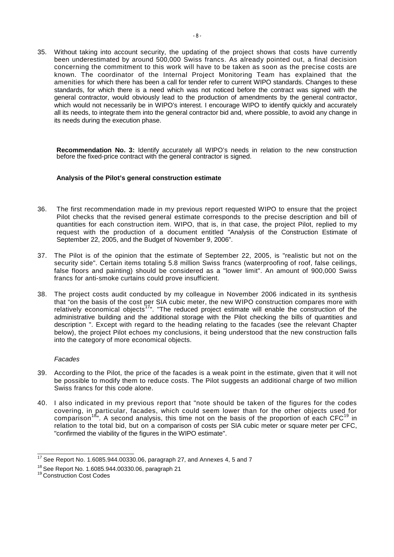35. Without taking into account security, the updating of the project shows that costs have currently been underestimated by around 500,000 Swiss francs. As already pointed out, a final decision concerning the commitment to this work will have to be taken as soon as the precise costs are known. The coordinator of the Internal Project Monitoring Team has explained that the amenities for which there has been a call for tender refer to current WIPO standards. Changes to these standards, for which there is a need which was not noticed before the contract was signed with the general contractor, would obviously lead to the production of amendments by the general contractor, which would not necessarily be in WIPO's interest. I encourage WIPO to identify quickly and accurately all its needs, to integrate them into the general contractor bid and, where possible, to avoid any change in its needs during the execution phase.

**Recommendation No. 3:** Identify accurately all WIPO's needs in relation to the new construction before the fixed-price contract with the general contractor is signed.

# **Analysis of the Pilot's general construction estimate**

- 36. The first recommendation made in my previous report requested WIPO to ensure that the project Pilot checks that the revised general estimate corresponds to the precise description and bill of quantities for each construction item. WIPO, that is, in that case, the project Pilot, replied to my request with the production of a document entitled "Analysis of the Construction Estimate of September 22, 2005, and the Budget of November 9, 2006".
- 37. The Pilot is of the opinion that the estimate of September 22, 2005, is "realistic but not on the security side". Certain items totaling 5.8 million Swiss francs (waterproofing of roof, false ceilings, false floors and painting) should be considered as a "lower limit". An amount of 900,000 Swiss francs for anti-smoke curtains could prove insufficient.
- 38. The project costs audit conducted by my colleague in November 2006 indicated in its synthesis that "on the basis of the cost per SIA cubic meter, the new WIPO construction compares more with relatively economical objects<sup>17</sup>". "The reduced project estimate will enable the construction of the administrative building and the additional storage with the Pilot checking the bills of quantities and description ". Except with regard to the heading relating to the facades (see the relevant Chapter below), the project Pilot echoes my conclusions, it being understood that the new construction falls into the category of more economical objects.

# Facades

- 39. According to the Pilot, the price of the facades is a weak point in the estimate, given that it will not be possible to modify them to reduce costs. The Pilot suggests an additional charge of two million Swiss francs for this code alone.
- 40. I also indicated in my previous report that "note should be taken of the figures for the codes covering, in particular, facades, which could seem lower than for the other objects used for comparison<sup>18</sup>". A second analysis, this time not on the basis of the proportion of each CFC<sup>19</sup> in relation to the total bid, but on a comparison of costs per SIA cubic meter or square meter per CFC, "confirmed the viability of the figures in the WIPO estimate".

 $17$  See Report No. 1.6085.944.00330.06, paragraph 27, and Annexes 4, 5 and 7

 $^{18}$  See Report No. 1.6085.944.00330.06, paragraph 21<br> $^{19}$  Construction Cost Codes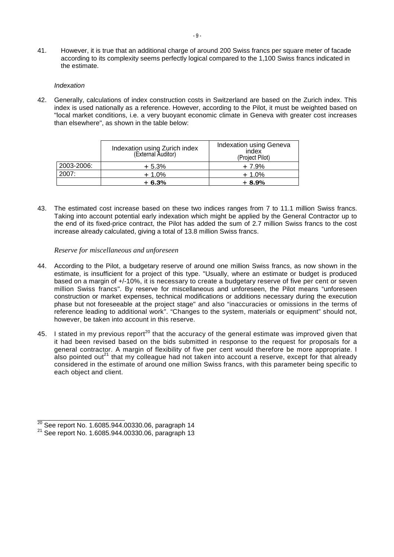41. However, it is true that an additional charge of around 200 Swiss francs per square meter of facade according to its complexity seems perfectly logical compared to the 1,100 Swiss francs indicated in the estimate.

#### Indexation

42. Generally, calculations of index construction costs in Switzerland are based on the Zurich index. This index is used nationally as a reference. However, according to the Pilot, it must be weighted based on "local market conditions, i.e. a very buoyant economic climate in Geneva with greater cost increases than elsewhere", as shown in the table below:

|            | Indexation using Zurich index<br>(External Auditor) | Indexation using Geneva<br>index<br>(Project Pilot) |
|------------|-----------------------------------------------------|-----------------------------------------------------|
| 2003-2006: | $+5.3%$                                             | $+7.9%$                                             |
| 2007:      | $+1.0%$                                             | $+1.0%$                                             |
|            | $+6.3%$                                             | $+8.9%$                                             |

43. The estimated cost increase based on these two indices ranges from 7 to 11.1 million Swiss francs. Taking into account potential early indexation which might be applied by the General Contractor up to the end of its fixed-price contract, the Pilot has added the sum of 2.7 million Swiss francs to the cost increase already calculated, giving a total of 13.8 million Swiss francs.

# *Reserve for miscellaneous and unforeseen*

- 44. According to the Pilot, a budgetary reserve of around one million Swiss francs, as now shown in the estimate, is insufficient for a project of this type. "Usually, where an estimate or budget is produced based on a margin of +/-10%, it is necessary to create a budgetary reserve of five per cent or seven million Swiss francs". By reserve for miscellaneous and unforeseen, the Pilot means "unforeseen construction or market expenses, technical modifications or additions necessary during the execution phase but not foreseeable at the project stage" and also "inaccuracies or omissions in the terms of reference leading to additional work". "Changes to the system, materials or equipment" should not, however, be taken into account in this reserve.
- 45. I stated in my previous report<sup>20</sup> that the accuracy of the general estimate was improved given that it had been revised based on the bids submitted in response to the request for proposals for a general contractor. A margin of flexibility of five per cent would therefore be more appropriate. I also pointed out<sup>21</sup> that my colleague had not taken into account a reserve, except for that already considered in the estimate of around one million Swiss francs, with this parameter being specific to each object and client.

 $\frac{20}{20}$  See report No. 1.6085.944.00330.06, paragraph 14

<sup>&</sup>lt;sup>21</sup> See report No. 1.6085.944.00330.06, paragraph 13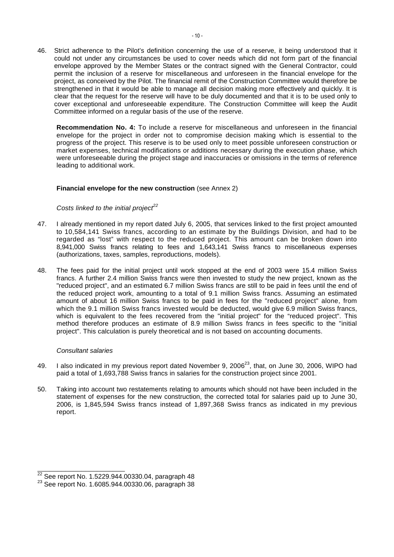46. Strict adherence to the Pilot's definition concerning the use of a reserve, it being understood that it could not under any circumstances be used to cover needs which did not form part of the financial envelope approved by the Member States or the contract signed with the General Contractor, could permit the inclusion of a reserve for miscellaneous and unforeseen in the financial envelope for the project, as conceived by the Pilot. The financial remit of the Construction Committee would therefore be strengthened in that it would be able to manage all decision making more effectively and quickly. It is clear that the request for the reserve will have to be duly documented and that it is to be used only to cover exceptional and unforeseeable expenditure. The Construction Committee will keep the Audit Committee informed on a regular basis of the use of the reserve.

**Recommendation No. 4:** To include a reserve for miscellaneous and unforeseen in the financial envelope for the project in order not to compromise decision making which is essential to the progress of the project. This reserve is to be used only to meet possible unforeseen construction or market expenses, technical modifications or additions necessary during the execution phase, which were unforeseeable during the project stage and inaccuracies or omissions in the terms of reference leading to additional work.

# **Financial envelope for the new construction** (see Annex 2)

# Costs linked to the initial project<sup>22</sup>

- 47. I already mentioned in my report dated July 6, 2005, that services linked to the first project amounted to 10,584,141 Swiss francs, according to an estimate by the Buildings Division, and had to be regarded as "lost" with respect to the reduced project. This amount can be broken down into 8,941,000 Swiss francs relating to fees and 1,643,141 Swiss francs to miscellaneous expenses (authorizations, taxes, samples, reproductions, models).
- 48. The fees paid for the initial project until work stopped at the end of 2003 were 15.4 million Swiss francs. A further 2.4 million Swiss francs were then invested to study the new project, known as the "reduced project", and an estimated 6.7 million Swiss francs are still to be paid in fees until the end of the reduced project work, amounting to a total of 9.1 million Swiss francs. Assuming an estimated amount of about 16 million Swiss francs to be paid in fees for the "reduced project" alone, from which the 9.1 million Swiss francs invested would be deducted, would give 6.9 million Swiss francs, which is equivalent to the fees recovered from the "initial project" for the "reduced project". This method therefore produces an estimate of 8.9 million Swiss francs in fees specific to the "initial project". This calculation is purely theoretical and is not based on accounting documents.

# Consultant salaries

- 49. I also indicated in my previous report dated November 9, 2006<sup>23</sup>, that, on June 30, 2006, WIPO had paid a total of 1,693,788 Swiss francs in salaries for the construction project since 2001.
- 50. Taking into account two restatements relating to amounts which should not have been included in the statement of expenses for the new construction, the corrected total for salaries paid up to June 30, 2006, is 1,845,594 Swiss francs instead of 1,897,368 Swiss francs as indicated in my previous report.

 $^{22}$  See report No. 1.5229.944.00330.04, paragraph 48

<sup>&</sup>lt;sup>23</sup> See report No. 1.6085.944.00330.06, paragraph 38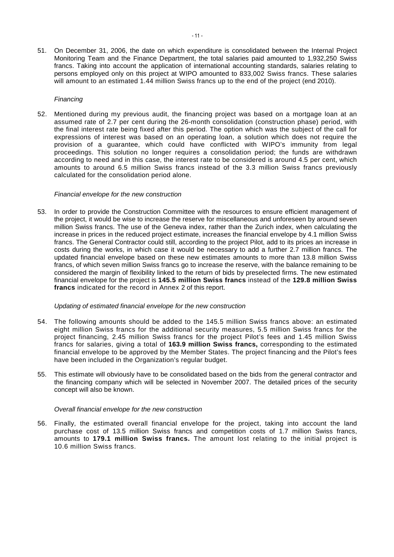51. On December 31, 2006, the date on which expenditure is consolidated between the Internal Project Monitoring Team and the Finance Department, the total salaries paid amounted to 1,932,250 Swiss francs. Taking into account the application of international accounting standards, salaries relating to persons employed only on this project at WIPO amounted to 833,002 Swiss francs. These salaries will amount to an estimated 1.44 million Swiss francs up to the end of the project (end 2010).

# Financing

52. Mentioned during my previous audit, the financing project was based on a mortgage loan at an assumed rate of 2.7 per cent during the 26-month consolidation (construction phase) period, with the final interest rate being fixed after this period. The option which was the subject of the call for expressions of interest was based on an operating loan, a solution which does not require the provision of a guarantee, which could have conflicted with WIPO's immunity from legal proceedings. This solution no longer requires a consolidation period; the funds are withdrawn according to need and in this case, the interest rate to be considered is around 4.5 per cent, which amounts to around 6.5 million Swiss francs instead of the 3.3 million Swiss francs previously calculated for the consolidation period alone.

# Financial envelope for the new construction

53. In order to provide the Construction Committee with the resources to ensure efficient management of the project, it would be wise to increase the reserve for miscellaneous and unforeseen by around seven million Swiss francs. The use of the Geneva index, rather than the Zurich index, when calculating the increase in prices in the reduced project estimate, increases the financial envelope by 4.1 million Swiss francs. The General Contractor could still, according to the project Pilot, add to its prices an increase in costs during the works, in which case it would be necessary to add a further 2.7 million francs. The updated financial envelope based on these new estimates amounts to more than 13.8 million Swiss francs, of which seven million Swiss francs go to increase the reserve, with the balance remaining to be considered the margin of flexibility linked to the return of bids by preselected firms. The new estimated financial envelope for the project is **145.5 million Swiss francs** instead of the **129.8 million Swiss francs** indicated for the record in Annex 2 of this report.

# Updating of estimated financial envelope for the new construction

- 54. The following amounts should be added to the 145.5 million Swiss francs above: an estimated eight million Swiss francs for the additional security measures, 5.5 million Swiss francs for the project financing, 2.45 million Swiss francs for the project Pilot's fees and 1.45 million Swiss francs for salaries, giving a total of **163.9 million Swiss francs,** corresponding to the estimated financial envelope to be approved by the Member States. The project financing and the Pilot's fees have been included in the Organization's regular budget.
- 55. This estimate will obviously have to be consolidated based on the bids from the general contractor and the financing company which will be selected in November 2007. The detailed prices of the security concept will also be known.

# Overall financial envelope for the new construction

56. Finally, the estimated overall financial envelope for the project, taking into account the land purchase cost of 13.5 million Swiss francs and competition costs of 1.7 million Swiss francs, amounts to **179.1 million Swiss francs.** The amount lost relating to the initial project is 10.6 million Swiss francs.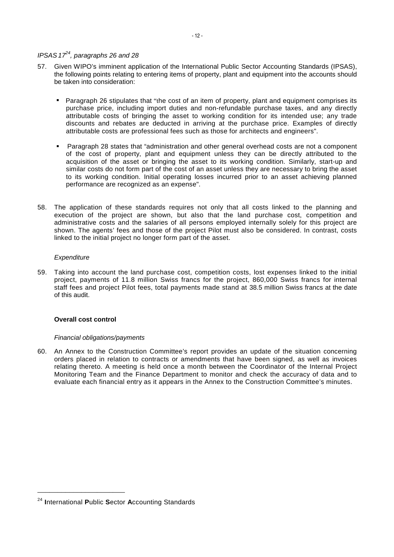- 57. Given WIPO's imminent application of the International Public Sector Accounting Standards (IPSAS), the following points relating to entering items of property, plant and equipment into the accounts should be taken into consideration:
	- Paragraph 26 stipulates that "the cost of an item of property, plant and equipment comprises its purchase price, including import duties and non-refundable purchase taxes, and any directly attributable costs of bringing the asset to working condition for its intended use; any trade discounts and rebates are deducted in arriving at the purchase price. Examples of directly attributable costs are professional fees such as those for architects and engineers".
	- Paragraph 28 states that "administration and other general overhead costs are not a component of the cost of property, plant and equipment unless they can be directly attributed to the acquisition of the asset or bringing the asset to its working condition. Similarly, start-up and similar costs do not form part of the cost of an asset unless they are necessary to bring the asset to its working condition. Initial operating losses incurred prior to an asset achieving planned performance are recognized as an expense".
- 58. The application of these standards requires not only that all costs linked to the planning and execution of the project are shown, but also that the land purchase cost, competition and administrative costs and the salaries of all persons employed internally solely for this project are shown. The agents' fees and those of the project Pilot must also be considered. In contrast, costs linked to the initial project no longer form part of the asset.

# **Expenditure**

59. Taking into account the land purchase cost, competition costs, lost expenses linked to the initial project, payments of 11.8 million Swiss francs for the project, 860,000 Swiss francs for internal staff fees and project Pilot fees, total payments made stand at 38.5 million Swiss francs at the date of this audit.

# **Overall cost control**

# Financial obligations/payments

60. An Annex to the Construction Committee's report provides an update of the situation concerning orders placed in relation to contracts or amendments that have been signed, as well as invoices relating thereto. A meeting is held once a month between the Coordinator of the Internal Project Monitoring Team and the Finance Department to monitor and check the accuracy of data and to evaluate each financial entry as it appears in the Annex to the Construction Committee's minutes.

\_\_\_\_\_\_\_\_\_\_\_\_\_\_\_\_\_\_\_\_\_\_

<sup>24</sup> **I**nternational **P**ublic **S**ector **A**ccounting Standards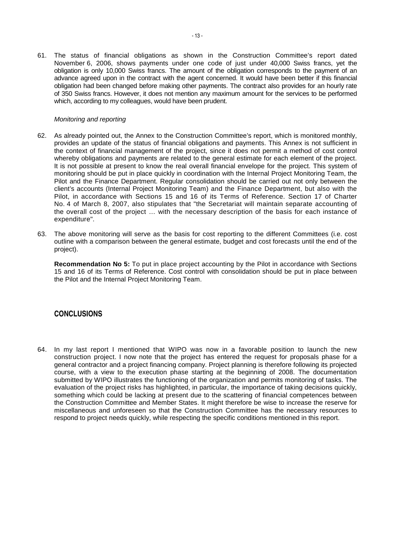61. The status of financial obligations as shown in the Construction Committee's report dated November 6, 2006, shows payments under one code of just under 40,000 Swiss francs, yet the obligation is only 10,000 Swiss francs. The amount of the obligation corresponds to the payment of an advance agreed upon in the contract with the agent concerned. It would have been better if this financial obligation had been changed before making other payments. The contract also provides for an hourly rate of 350 Swiss francs. However, it does not mention any maximum amount for the services to be performed which, according to my colleagues, would have been prudent.

# Monitoring and reporting

- 62. As already pointed out, the Annex to the Construction Committee's report, which is monitored monthly, provides an update of the status of financial obligations and payments. This Annex is not sufficient in the context of financial management of the project, since it does not permit a method of cost control whereby obligations and payments are related to the general estimate for each element of the project. It is not possible at present to know the real overall financial envelope for the project. This system of monitoring should be put in place quickly in coordination with the Internal Project Monitoring Team, the Pilot and the Finance Department. Regular consolidation should be carried out not only between the client's accounts (Internal Project Monitoring Team) and the Finance Department, but also with the Pilot, in accordance with Sections 15 and 16 of its Terms of Reference. Section 17 of Charter No. 4 of March 8, 2007, also stipulates that "the Secretariat will maintain separate accounting of the overall cost of the project … with the necessary description of the basis for each instance of expenditure".
- 63. The above monitoring will serve as the basis for cost reporting to the different Committees (i.e. cost outline with a comparison between the general estimate, budget and cost forecasts until the end of the project).

**Recommendation No 5:** To put in place project accounting by the Pilot in accordance with Sections 15 and 16 of its Terms of Reference. Cost control with consolidation should be put in place between the Pilot and the Internal Project Monitoring Team.

# **CONCLUSIONS**

64. In my last report I mentioned that WIPO was now in a favorable position to launch the new construction project. I now note that the project has entered the request for proposals phase for a general contractor and a project financing company. Project planning is therefore following its projected course, with a view to the execution phase starting at the beginning of 2008. The documentation submitted by WIPO illustrates the functioning of the organization and permits monitoring of tasks. The evaluation of the project risks has highlighted, in particular, the importance of taking decisions quickly, something which could be lacking at present due to the scattering of financial competences between the Construction Committee and Member States. It might therefore be wise to increase the reserve for miscellaneous and unforeseen so that the Construction Committee has the necessary resources to respond to project needs quickly, while respecting the specific conditions mentioned in this report.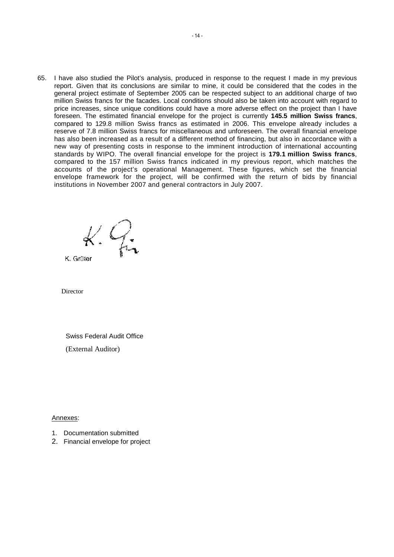65. I have also studied the Pilot's analysis, produced in response to the request I made in my previous report. Given that its conclusions are similar to mine, it could be considered that the codes in the general project estimate of September 2005 can be respected subject to an additional charge of two million Swiss francs for the facades. Local conditions should also be taken into account with regard to price increases, since unique conditions could have a more adverse effect on the project than I have foreseen. The estimated financial envelope for the project is currently **145.5 million Swiss francs**, compared to 129.8 million Swiss francs as estimated in 2006. This envelope already includes a reserve of 7.8 million Swiss francs for miscellaneous and unforeseen. The overall financial envelope has also been increased as a result of a different method of financing, but also in accordance with a new way of presenting costs in response to the imminent introduction of international accounting standards by WIPO. The overall financial envelope for the project is **179.1 million Swiss francs**, compared to the 157 million Swiss francs indicated in my previous report, which matches the accounts of the project's operational Management. These figures, which set the financial envelope framework for the project, will be confirmed with the return of bids by financial institutions in November 2007 and general contractors in July 2007.

 $k.\nleq$ 

K. Grüter

Director

Swiss Federal Audit Office (External Auditor)

Annexes:

- 1. Documentation submitted
- 2. Financial envelope for project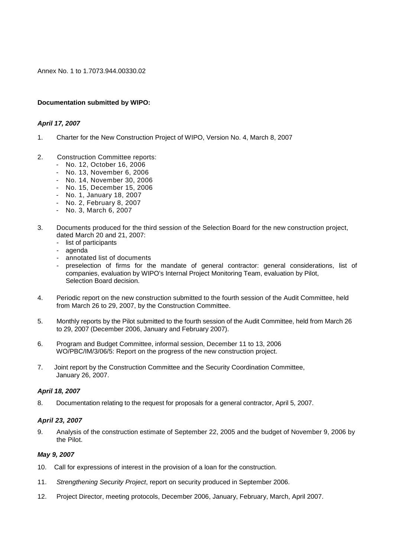Annex No. 1 to 1.7073.944.00330.02

# **Documentation submitted by WIPO:**

# **April 17, 2007**

- 1. Charter for the New Construction Project of WIPO, Version No. 4, March 8, 2007
- 2. Construction Committee reports:
	- No. 12, October 16, 2006
	- No. 13, November 6, 2006
	- No. 14, November 30, 2006
	- No. 15, December 15, 2006
	- No. 1, January 18, 2007
	- No. 2, February 8, 2007
	- No. 3, March 6, 2007
- 3. Documents produced for the third session of the Selection Board for the new construction project, dated March 20 and 21, 2007:
	- list of participants
	- agenda
	- annotated list of documents
	- preselection of firms for the mandate of general contractor: general considerations, list of companies, evaluation by WIPO's Internal Project Monitoring Team, evaluation by Pilot, Selection Board decision.
- 4. Periodic report on the new construction submitted to the fourth session of the Audit Committee, held from March 26 to 29, 2007, by the Construction Committee.
- 5. Monthly reports by the Pilot submitted to the fourth session of the Audit Committee, held from March 26 to 29, 2007 (December 2006, January and February 2007).
- 6. Program and Budget Committee, informal session, December 11 to 13, 2006 WO/PBC/IM/3/06/5: Report on the progress of the new construction project.
- 7. Joint report by the Construction Committee and the Security Coordination Committee, January 26, 2007.

# **April 18, 2007**

8. Documentation relating to the request for proposals for a general contractor, April 5, 2007.

# **April 23, 2007**

9. Analysis of the construction estimate of September 22, 2005 and the budget of November 9, 2006 by the Pilot.

# **May 9, 2007**

- 10. Call for expressions of interest in the provision of a loan for the construction.
- 11. Strengthening Security Project, report on security produced in September 2006.
- 12. Project Director, meeting protocols, December 2006, January, February, March, April 2007.